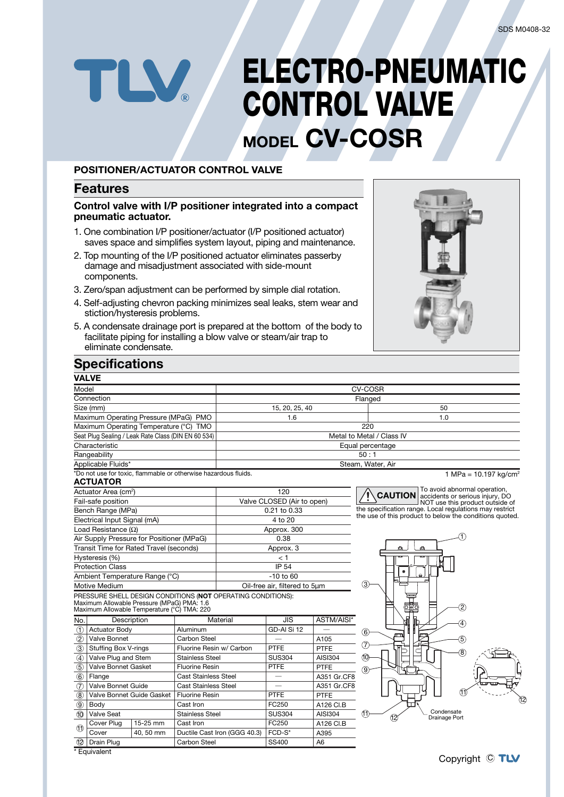# **ELECTRO-PNEUMATIC** TLV **CONTROL VALVE MODEL CV-COSR**

## **POSITIONER/ACTUATOR CONTROL VALVE**

## **Features**

#### **Control valve with I/P positioner integrated into a compact pneumatic actuator.**

- 1. One combination I/P positioner/actuator (I/P positioned actuator) saves space and simplifies system layout, piping and maintenance.
- 2. Top mounting of the I/P positioned actuator eliminates passerby damage and misadjustment associated with side-mount components.
- 3. Zero/span adjustment can be performed by simple dial rotation.
- 4. Self-adjusting chevron packing minimizes seal leaks, stem wear and stiction/hysteresis problems.
- 5. A condensate drainage port is prepared at the bottom of the body to facilitate piping for installing a blow valve or steam/air trap to eliminate condensate.



## **Specifications**

| <b>VALVE</b>                                                      |                                                    |                          |                                                            |                               |                |                                                                                                                    |  |  |  |  |
|-------------------------------------------------------------------|----------------------------------------------------|--------------------------|------------------------------------------------------------|-------------------------------|----------------|--------------------------------------------------------------------------------------------------------------------|--|--|--|--|
| Model                                                             |                                                    |                          | <b>CV-COSR</b>                                             |                               |                |                                                                                                                    |  |  |  |  |
| Connection                                                        |                                                    |                          |                                                            | Flanged                       |                |                                                                                                                    |  |  |  |  |
| Size (mm)                                                         |                                                    |                          | 15, 20, 25, 40                                             |                               |                | 50                                                                                                                 |  |  |  |  |
| Maximum Operating Pressure (MPaG) PMO                             |                                                    |                          | 1.6                                                        |                               |                | 1.0                                                                                                                |  |  |  |  |
| Maximum Operating Temperature (°C) TMO                            |                                                    |                          |                                                            |                               |                | 220                                                                                                                |  |  |  |  |
| Seat Plug Sealing / Leak Rate Class (DIN EN 60 534)               |                                                    |                          | Metal to Metal / Class IV                                  |                               |                |                                                                                                                    |  |  |  |  |
| Characteristic                                                    |                                                    |                          | Equal percentage                                           |                               |                |                                                                                                                    |  |  |  |  |
| Rangeability                                                      |                                                    |                          | 50:1                                                       |                               |                |                                                                                                                    |  |  |  |  |
| Applicable Fluids*                                                |                                                    |                          | Steam, Water, Air                                          |                               |                |                                                                                                                    |  |  |  |  |
| *Do not use for toxic, flammable or otherwise hazardous fluids.   |                                                    |                          |                                                            |                               |                | 1 MPa = $10.197$ kg/cm <sup>2</sup>                                                                                |  |  |  |  |
| <b>ACTUATOR</b>                                                   |                                                    |                          |                                                            |                               |                |                                                                                                                    |  |  |  |  |
| Actuator Area (cm <sup>2</sup> )                                  |                                                    |                          | 120                                                        |                               |                | To avoid abnormal operation,<br><b>CAUTION</b><br>accidents or serious injury, DO                                  |  |  |  |  |
| Fail-safe position                                                |                                                    |                          | Valve CLOSED (Air to open)                                 |                               |                | NOT use this product outside of                                                                                    |  |  |  |  |
| Bench Range (MPa)                                                 |                                                    |                          | 0.21 to 0.33                                               |                               |                | the specification range. Local regulations may restrict<br>the use of this product to below the conditions quoted. |  |  |  |  |
| Electrical Input Signal (mA)                                      |                                                    |                          |                                                            | 4 to 20                       |                |                                                                                                                    |  |  |  |  |
| Load Resistance $(\Omega)$                                        |                                                    |                          | Approx. 300                                                |                               |                |                                                                                                                    |  |  |  |  |
| Air Supply Pressure for Positioner (MPaG)                         |                                                    |                          | 0.38                                                       |                               |                |                                                                                                                    |  |  |  |  |
| Transit Time for Rated Travel (seconds)                           |                                                    |                          | Approx. 3                                                  |                               |                | ่                                                                                                                  |  |  |  |  |
| Hysteresis (%)                                                    |                                                    |                          | < 1                                                        |                               |                |                                                                                                                    |  |  |  |  |
| <b>Protection Class</b>                                           |                                                    |                          | <b>IP 54</b>                                               |                               |                |                                                                                                                    |  |  |  |  |
| Ambient Temperature Range (°C)                                    |                                                    |                          | $-10$ to 60                                                |                               |                |                                                                                                                    |  |  |  |  |
| Motive Medium                                                     |                                                    |                          | Oil-free air, filtered to 5um                              |                               |                | 3                                                                                                                  |  |  |  |  |
| PRESSURE SHELL DESIGN CONDITIONS (NOT OPERATING CONDITIONS):      |                                                    |                          |                                                            |                               |                |                                                                                                                    |  |  |  |  |
| Maximum Allowable Pressure (MPaG) PMA: 1.6                        |                                                    |                          |                                                            |                               |                | 2)                                                                                                                 |  |  |  |  |
| Maximum Allowable Temperature (°C) TMA: 220<br>No.<br>Description |                                                    |                          | Material                                                   | $\overline{JIS}$              | ASTM/AISI*     |                                                                                                                    |  |  |  |  |
| $\odot$<br><b>Actuator Body</b>                                   |                                                    | Aluminum                 |                                                            | GD-AI Si 12                   |                | 4                                                                                                                  |  |  |  |  |
| $\circled{2}$<br>Valve Bonnet                                     |                                                    | Carbon Steel             |                                                            | $\qquad \qquad$               | A105           | 6<br>(5)                                                                                                           |  |  |  |  |
| $\circled{3}$                                                     |                                                    | Fluorine Resin w/ Carbon |                                                            | <b>PTFE</b>                   | PTFE           | 7,                                                                                                                 |  |  |  |  |
| $\circled{4}$                                                     | <b>Stuffing Box V-rings</b><br>Valve Plug and Stem |                          | <b>Stainless Steel</b>                                     | <b>SUS304</b>                 | AISI304        | 8<br>10                                                                                                            |  |  |  |  |
| $\overline{6}$                                                    | <b>Valve Bonnet Gasket</b>                         |                          |                                                            | PTFE                          | <b>PTFE</b>    |                                                                                                                    |  |  |  |  |
| $\circled6$<br>Flange                                             | <b>Fluorine Resin</b>                              |                          |                                                            | $\overbrace{\phantom{12332}}$ | A351 Gr.CF8    | 9)                                                                                                                 |  |  |  |  |
| $\overline{O}$                                                    | Valve Bonnet Guide                                 |                          | <b>Cast Stainless Steel</b><br><b>Cast Stainless Steel</b> |                               | A351 Gr.CF8    |                                                                                                                    |  |  |  |  |
| $\overline{\circledast}$                                          | Valve Bonnet Guide Gasket                          |                          | <b>Fluorine Resin</b>                                      |                               | PTFE           | Aî                                                                                                                 |  |  |  |  |
| $\overline{9}$<br>Body                                            |                                                    | Cast Iron                |                                                            | <b>PTFE</b><br>FC250          | A126 CI.B      | Ğ2                                                                                                                 |  |  |  |  |
| $\overline{\mathbf{0}}$                                           | Valve Seat                                         |                          | <b>Stainless Steel</b>                                     |                               | <b>AISI304</b> | Condensate<br>(11                                                                                                  |  |  |  |  |
| Cover Plug                                                        | 15-25 mm<br>Cast Iron                              |                          |                                                            | <b>SUS304</b><br>FC250        | A126 CI.B      | 12<br>Drainage Port                                                                                                |  |  |  |  |
| $\bigoplus$<br>Cover                                              | 40, 50 mm                                          |                          | Ductile Cast Iron (GGG 40.3)                               | FCD-S*                        | A395           |                                                                                                                    |  |  |  |  |
| $\overline{12}$<br>Drain Plug                                     |                                                    | Carbon Steel             |                                                            | SS400                         | A <sub>6</sub> |                                                                                                                    |  |  |  |  |
| * Fauivalent                                                      |                                                    |                          |                                                            |                               |                |                                                                                                                    |  |  |  |  |

\* Equivalent

### Copyright C TLV